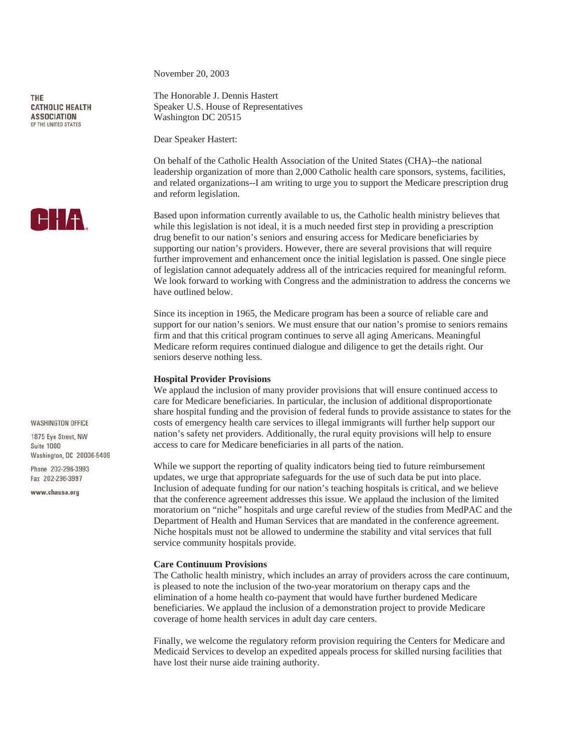THE **CATHOLIC HEALTH ASSOCIATION** OF THE UNITED STATES



**WASHINGTON OFFICE** 

1875 Eve Street NW Suite 1000 Washington, DC 20006-5409

Phone 202-296-3993 Fax 202-296-3997

www.chausa.org

November 20, 2003

The Honorable J. Dennis Hastert Speaker U.S. House of Representatives Washington DC 20515

Dear Speaker Hastert:

On behalf of the Catholic Health Association of the United States (CHA)--the national leadership organization of more than 2,000 Catholic health care sponsors, systems, facilities, and related organizations--I am writing to urge you to support the Medicare prescription drug and reform legislation.

Based upon information currently available to us, the Catholic health ministry believes that while this legislation is not ideal, it is a much needed first step in providing a prescription drug benefit to our nation's seniors and ensuring access for Medicare beneficiaries by supporting our nation's providers. However, there are several provisions that will require further improvement and enhancement once the initial legislation is passed. One single piece of legislation cannot adequately address all of the intricacies required for meaningful reform. We look forward to working with Congress and the administration to address the concerns we have outlined below.

Since its inception in 1965, the Medicare program has been a source of reliable care and support for our nation's seniors. We must ensure that our nation's promise to seniors remains firm and that this critical program continues to serve all aging Americans. Meaningful Medicare reform requires continued dialogue and diligence to get the details right. Our seniors deserve nothing less.

## **Hospital Provider Provisions**

We applaud the inclusion of many provider provisions that will ensure continued access to care for Medicare beneficiaries. In particular, the inclusion of additional disproportionate share hospital funding and the provision of federal funds to provide assistance to states for the costs of emergency health care services to illegal immigrants will further help support our nation's safety net providers. Additionally, the rural equity provisions will help to ensure access to care for Medicare beneficiaries in all parts of the nation.

While we support the reporting of quality indicators being tied to future reimbursement updates, we urge that appropriate safeguards for the use of such data be put into place. Inclusion of adequate funding for our nation's teaching hospitals is critical, and we believe that the conference agreement addresses this issue. We applaud the inclusion of the limited moratorium on "niche" hospitals and urge careful review of the studies from MedPAC and the Department of Health and Human Services that are mandated in the conference agreement. Niche hospitals must not be allowed to undermine the stability and vital services that full service community hospitals provide.

# **Care Continuum Provisions**

The Catholic health ministry, which includes an array of providers across the care continuum, is pleased to note the inclusion of the two-year moratorium on therapy caps and the elimination of a home health co-payment that would have further burdened Medicare beneficiaries. We applaud the inclusion of a demonstration project to provide Medicare coverage of home health services in adult day care centers.

Finally, we welcome the regulatory reform provision requiring the Centers for Medicare and Medicaid Services to develop an expedited appeals process for skilled nursing facilities that have lost their nurse aide training authority.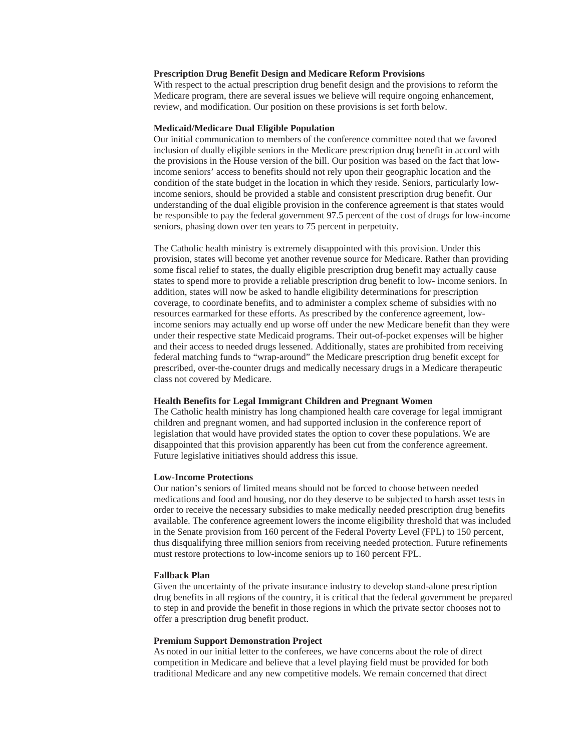#### **Prescription Drug Benefit Design and Medicare Reform Provisions**

With respect to the actual prescription drug benefit design and the provisions to reform the Medicare program, there are several issues we believe will require ongoing enhancement, review, and modification. Our position on these provisions is set forth below.

### **Medicaid/Medicare Dual Eligible Population**

Our initial communication to members of the conference committee noted that we favored inclusion of dually eligible seniors in the Medicare prescription drug benefit in accord with the provisions in the House version of the bill. Our position was based on the fact that lowincome seniors' access to benefits should not rely upon their geographic location and the condition of the state budget in the location in which they reside. Seniors, particularly lowincome seniors, should be provided a stable and consistent prescription drug benefit. Our understanding of the dual eligible provision in the conference agreement is that states would be responsible to pay the federal government 97.5 percent of the cost of drugs for low-income seniors, phasing down over ten years to 75 percent in perpetuity.

The Catholic health ministry is extremely disappointed with this provision. Under this provision, states will become yet another revenue source for Medicare. Rather than providing some fiscal relief to states, the dually eligible prescription drug benefit may actually cause states to spend more to provide a reliable prescription drug benefit to low- income seniors. In addition, states will now be asked to handle eligibility determinations for prescription coverage, to coordinate benefits, and to administer a complex scheme of subsidies with no resources earmarked for these efforts. As prescribed by the conference agreement, lowincome seniors may actually end up worse off under the new Medicare benefit than they were under their respective state Medicaid programs. Their out-of-pocket expenses will be higher and their access to needed drugs lessened. Additionally, states are prohibited from receiving federal matching funds to "wrap-around" the Medicare prescription drug benefit except for prescribed, over-the-counter drugs and medically necessary drugs in a Medicare therapeutic class not covered by Medicare.

## **Health Benefits for Legal Immigrant Children and Pregnant Women**

The Catholic health ministry has long championed health care coverage for legal immigrant children and pregnant women, and had supported inclusion in the conference report of legislation that would have provided states the option to cover these populations. We are disappointed that this provision apparently has been cut from the conference agreement. Future legislative initiatives should address this issue.

#### **Low-Income Protections**

Our nation's seniors of limited means should not be forced to choose between needed medications and food and housing, nor do they deserve to be subjected to harsh asset tests in order to receive the necessary subsidies to make medically needed prescription drug benefits available. The conference agreement lowers the income eligibility threshold that was included in the Senate provision from 160 percent of the Federal Poverty Level (FPL) to 150 percent, thus disqualifying three million seniors from receiving needed protection. Future refinements must restore protections to low-income seniors up to 160 percent FPL.

#### **Fallback Plan**

Given the uncertainty of the private insurance industry to develop stand-alone prescription drug benefits in all regions of the country, it is critical that the federal government be prepared to step in and provide the benefit in those regions in which the private sector chooses not to offer a prescription drug benefit product.

### **Premium Support Demonstration Project**

As noted in our initial letter to the conferees, we have concerns about the role of direct competition in Medicare and believe that a level playing field must be provided for both traditional Medicare and any new competitive models. We remain concerned that direct